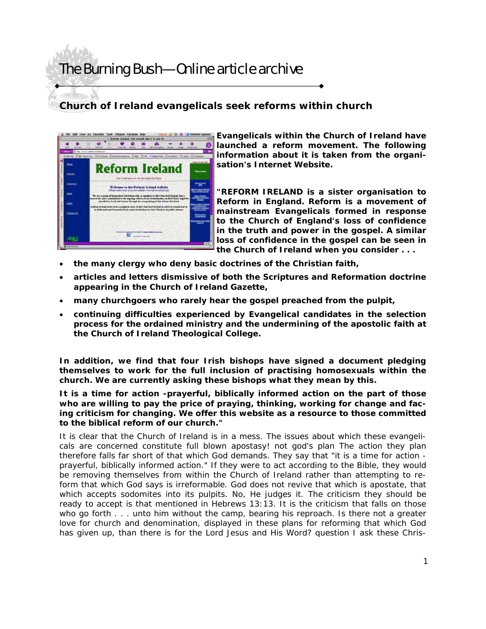## The Burning Bush—Online article archive

## **Church of Ireland evangelicals seek reforms within church**



**Evangelicals within the Church of Ireland have launched a reform movement. The following information about it is taken from the organisation's Internet Website.** 

**"REFORM IRELAND is a sister organisation to Reform in England. Reform is a movement of mainstream Evangelicals formed in response to the Church of England's loss of confidence in the truth and power in the gospel. A similar loss of confidence in the gospel can be seen in the Church of Ireland when you consider . . .** 

- **the many clergy who deny basic doctrines of the Christian faith,**
- **articles and letters dismissive of both the Scriptures and Reformation doctrine appearing in the Church of Ireland Gazette,**
- **many churchgoers who rarely hear the gospel preached from the pulpit,**
- **continuing difficulties experienced by Evangelical candidates in the selection process for the ordained ministry and the undermining of the apostolic faith at the Church of Ireland Theological College.**

**In addition, we find that four Irish bishops have signed a document pledging themselves to work for the full inclusion of practising homosexuals within the church. We are currently asking these bishops what they mean by this.** 

**It is a time for action -prayerful, biblically informed action on the part of those who are willing to pay the price of praying, thinking, working for change and facing criticism for changing. We offer this website as a resource to those committed to the biblical reform of our church."** 

It is clear that the Church of Ireland is in a mess. The issues about which these evangelicals are concerned constitute full blown apostasy! not god's plan The action they plan therefore falls far short of that which God demands. They say that "it is a time for action prayerful, biblically informed action." If they were to act according to the Bible, they would be removing themselves from within the Church of Ireland rather than attempting to reform that which God says is irreformable. God does not revive that which is apostate, that which accepts sodomites into its pulpits. No, He judges it. The criticism they should be ready to accept is that mentioned in Hebrews 13:13. It is the criticism that falls on those who go forth . . . unto him without the camp, bearing his reproach. Is there not a greater love for church and denomination, displayed in these plans for reforming that which God has given up, than there is for the Lord Jesus and His Word? question I ask these Chris-